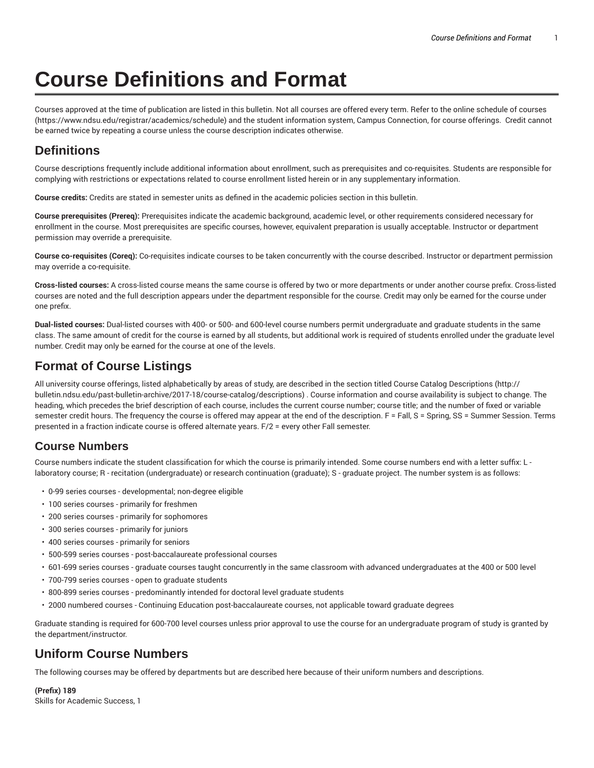# **Course Definitions and Format**

Courses approved at the time of publication are listed in this bulletin. Not all courses are offered every term. Refer to the online schedule of courses (https://www.ndsu.edu/registrar/academics/schedule) and the student information system, Campus Connection, for course offerings. Credit cannot be earned twice by repeating a course unless the course description indicates otherwise.

# **Definitions**

Course descriptions frequently include additional information about enrollment, such as prerequisites and co-requisites. Students are responsible for complying with restrictions or expectations related to course enrollment listed herein or in any supplementary information.

**Course credits:** Credits are stated in semester units as defined in the academic policies section in this bulletin.

**Course prerequisites (Prereq):** Prerequisites indicate the academic background, academic level, or other requirements considered necessary for enrollment in the course. Most prerequisites are specific courses, however, equivalent preparation is usually acceptable. Instructor or department permission may override a prerequisite.

**Course co-requisites (Coreq):** Co-requisites indicate courses to be taken concurrently with the course described. Instructor or department permission may override a co-requisite.

**Cross-listed courses:** A cross-listed course means the same course is offered by two or more departments or under another course prefix. Cross-listed courses are noted and the full description appears under the department responsible for the course. Credit may only be earned for the course under one prefix.

**Dual-listed courses:** Dual-listed courses with 400- or 500- and 600-level course numbers permit undergraduate and graduate students in the same class. The same amount of credit for the course is earned by all students, but additional work is required of students enrolled under the graduate level number. Credit may only be earned for the course at one of the levels.

# **Format of Course Listings**

All university course offerings, listed alphabetically by areas of study, are described in the section titled Course Catalog Descriptions (http:// bulletin.ndsu.edu/past-bulletin-archive/2017-18/course-catalog/descriptions) . Course information and course availability is subject to change. The heading, which precedes the brief description of each course, includes the current course number; course title; and the number of fixed or variable semester credit hours. The frequency the course is offered may appear at the end of the description. F = Fall, S = Spring, SS = Summer Session. Terms presented in a fraction indicate course is offered alternate years. F/2 = every other Fall semester.

# **Course Numbers**

Course numbers indicate the student classification for which the course is primarily intended. Some course numbers end with a letter suffix: L laboratory course; R - recitation (undergraduate) or research continuation (graduate); S - graduate project. The number system is as follows:

- 0-99 series courses developmental; non-degree eligible
- 100 series courses primarily for freshmen
- 200 series courses primarily for sophomores
- 300 series courses primarily for juniors
- 400 series courses primarily for seniors
- 500-599 series courses post-baccalaureate professional courses
- 601-699 series courses graduate courses taught concurrently in the same classroom with advanced undergraduates at the 400 or 500 level
- 700-799 series courses open to graduate students
- 800-899 series courses predominantly intended for doctoral level graduate students
- 2000 numbered courses Continuing Education post-baccalaureate courses, not applicable toward graduate degrees

Graduate standing is required for 600-700 level courses unless prior approval to use the course for an undergraduate program of study is granted by the department/instructor.

# **Uniform Course Numbers**

The following courses may be offered by departments but are described here because of their uniform numbers and descriptions.

**(Prefix) 189** Skills for Academic Success, 1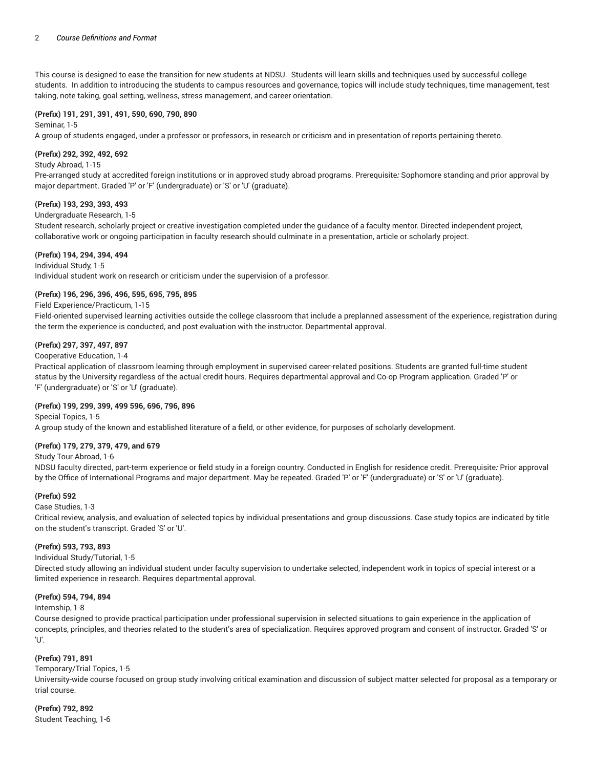This course is designed to ease the transition for new students at NDSU. Students will learn skills and techniques used by successful college students. In addition to introducing the students to campus resources and governance, topics will include study techniques, time management, test taking, note taking, goal setting, wellness, stress management, and career orientation.

# **(Prefix) 191, 291, 391, 491, 590, 690, 790, 890**

Seminar, 1-5

A group of students engaged, under a professor or professors, in research or criticism and in presentation of reports pertaining thereto.

### **(Prefix) 292, 392, 492, 692**

#### Study Abroad, 1-15

Pre-arranged study at accredited foreign institutions or in approved study abroad programs. Prerequisite*:* Sophomore standing and prior approval by major department. Graded 'P' or 'F' (undergraduate) or 'S' or 'U' (graduate).

#### **(Prefix) 193, 293, 393, 493**

#### Undergraduate Research, 1-5

Student research, scholarly project or creative investigation completed under the guidance of a faculty mentor. Directed independent project, collaborative work or ongoing participation in faculty research should culminate in a presentation, article or scholarly project.

#### **(Prefix) 194, 294, 394, 494**

#### Individual Study, 1-5

Individual student work on research or criticism under the supervision of a professor.

# **(Prefix) 196, 296, 396, 496, 595, 695, 795, 895**

#### Field Experience/Practicum, 1-15

Field-oriented supervised learning activities outside the college classroom that include a preplanned assessment of the experience, registration during the term the experience is conducted, and post evaluation with the instructor. Departmental approval.

#### **(Prefix) 297, 397, 497, 897**

#### Cooperative Education, 1-4

Practical application of classroom learning through employment in supervised career-related positions. Students are granted full-time student status by the University regardless of the actual credit hours. Requires departmental approval and Co-op Program application. Graded 'P' or 'F' (undergraduate) or 'S' or 'U' (graduate).

#### **(Prefix) 199, 299, 399, 499 596, 696, 796, 896**

# Special Topics, 1-5 A group study of the known and established literature of a field, or other evidence, for purposes of scholarly development.

# **(Prefix) 179, 279, 379, 479, and 679**

### Study Tour Abroad, 1-6

NDSU faculty directed, part-term experience or field study in a foreign country. Conducted in English for residence credit. Prerequisite*:* Prior approval by the Office of International Programs and major department. May be repeated. Graded 'P' or 'F' (undergraduate) or 'S' or 'U' (graduate).

# **(Prefix) 592**

#### Case Studies, 1-3

Critical review, analysis, and evaluation of selected topics by individual presentations and group discussions. Case study topics are indicated by title on the student's transcript. Graded 'S' or 'U'.

#### **(Prefix) 593, 793, 893**

#### Individual Study/Tutorial, 1-5

Directed study allowing an individual student under faculty supervision to undertake selected, independent work in topics of special interest or a limited experience in research. Requires departmental approval.

# **(Prefix) 594, 794, 894**

#### Internship, 1-8

Course designed to provide practical participation under professional supervision in selected situations to gain experience in the application of concepts, principles, and theories related to the student's area of specialization. Requires approved program and consent of instructor. Graded 'S' or 'U'.

# **(Prefix) 791, 891**

#### Temporary/Trial Topics, 1-5

University-wide course focused on group study involving critical examination and discussion of subject matter selected for proposal as a temporary or trial course.

**(Prefix) 792, 892** Student Teaching, 1-6